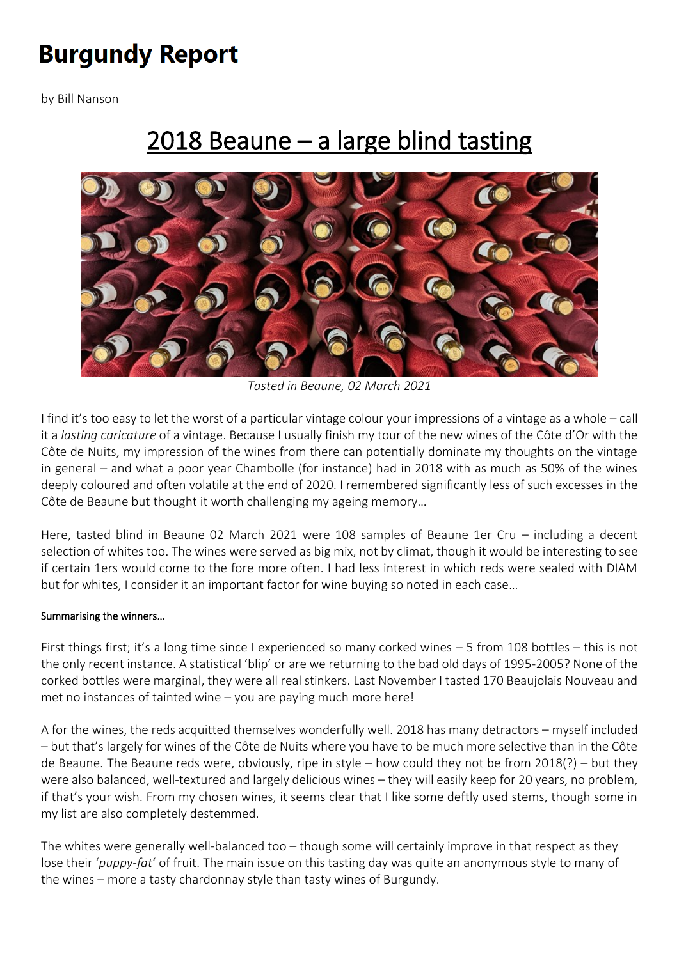# **Burgundy Report**

by [Bill](https://www.burgundy-report.com/author/billn/) Nanson

## [2018 Beaune – a large blind tasting](https://www.burgundy-report.com/burgundy-report-extra/03-2021/2018-beaune-a-large-blind-tasting/)



*Tasted in Beaune, 02 March 2021*

I find it's too easy to let the worst of a particular vintage colour your impressions of a vintage as a whole – call it a *lasting caricature* of a vintage. Because I usually finish my tour of the new wines of the Côte d'Or with the Côte de Nuits, my impression of the wines from there can potentially dominate my thoughts on the vintage in general – and what a poor year Chambolle (for instance) had in 2018 with as much as 50% of the wines deeply coloured and often volatile at the end of 2020. I remembered significantly less of such excesses in the Côte de Beaune but thought it worth challenging my ageing memory…

Here, tasted blind in Beaune 02 March 2021 were 108 samples of Beaune 1er Cru – including a decent selection of whites too. The wines were served as big mix, not by climat, though it would be interesting to see if certain 1ers would come to the fore more often. I had less interest in which reds were sealed with DIAM but for whites, I consider it an important factor for wine buying so noted in each case…

#### Summarising the winners…

First things first; it's a long time since I experienced so many corked wines – 5 from 108 bottles – this is not the only recent instance. A statistical 'blip' or are we returning to the bad old days of 1995-2005? None of the corked bottles were marginal, they were all real stinkers. Last November I tasted 170 Beaujolais Nouveau and met no instances of tainted wine – you are paying much more here!

A for the wines, the reds acquitted themselves wonderfully well. 2018 has many detractors – myself included – but that's largely for wines of the Côte de Nuits where you have to be much more selective than in the Côte de Beaune. The Beaune reds were, obviously, ripe in style – how could they not be from 2018(?) – but they were also balanced, well-textured and largely delicious wines – they will easily keep for 20 years, no problem, if that's your wish. From my chosen wines, it seems clear that I like some deftly used stems, though some in my list are also completely destemmed.

The whites were generally well-balanced too – though some will certainly improve in that respect as they lose their '*puppy-fat*' of fruit. The main issue on this tasting day was quite an anonymous style to many of the wines – more a tasty chardonnay style than tasty wines of Burgundy.